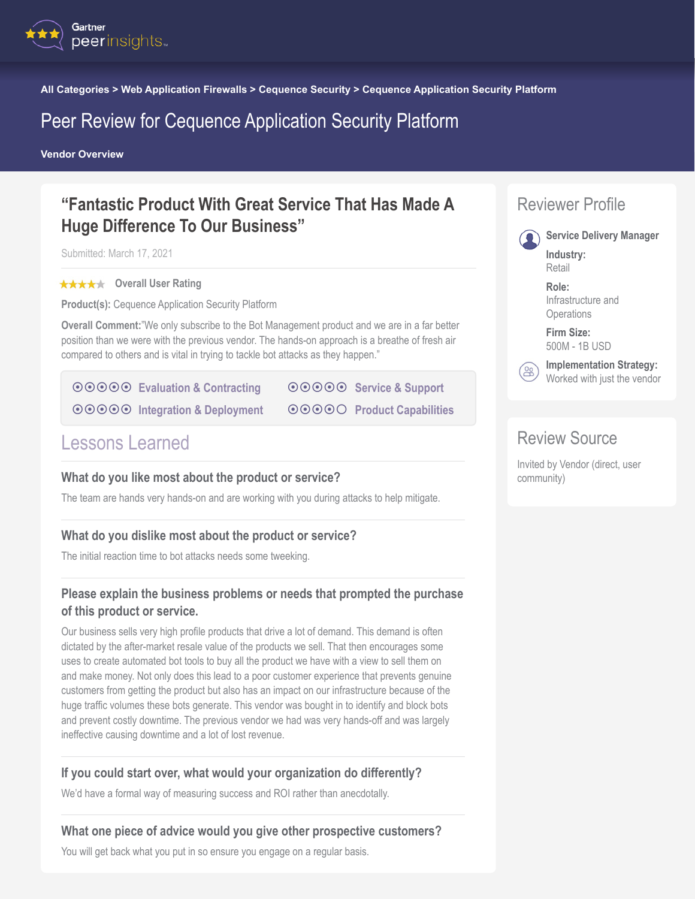

**All Categories > Web Application Firewalls > Cequence Security > Cequence Application Security Platform**

## Peer Review for Cequence Application Security Platform

**Vendor Overview**

### **"Fantastic Product With Great Service That Has Made A Huge Difference To Our Business"**

Submitted: March 17, 2021

#### **★★★★★** Overall User Rating

**Product(s):** Cequence Application Security Platform

**Overall Comment:**"We only subscribe to the Bot Management product and we are in a far better position than we were with the previous vendor. The hands-on approach is a breathe of fresh air compared to others and is vital in trying to tackle bot attacks as they happen."

| ⊙⊙⊙⊙⊙ Evaluation & Contracting | ⊙⊙⊙⊙⊙ Service & Support   |
|--------------------------------|---------------------------|
| ⊙⊙⊙⊙⊙ Integration & Deployment | ⊙⊙⊙⊙ Product Capabilities |

## Lessons Learned

#### **What do you like most about the product or service?**

The team are hands very hands-on and are working with you during attacks to help mitigate.

#### **What do you dislike most about the product or service?**

The initial reaction time to bot attacks needs some tweeking.

#### **Please explain the business problems or needs that prompted the purchase of this product or service.**

Our business sells very high profile products that drive a lot of demand. This demand is often dictated by the after-market resale value of the products we sell. That then encourages some uses to create automated bot tools to buy all the product we have with a view to sell them on and make money. Not only does this lead to a poor customer experience that prevents genuine customers from getting the product but also has an impact on our infrastructure because of the huge traffic volumes these bots generate. This vendor was bought in to identify and block bots and prevent costly downtime. The previous vendor we had was very hands-off and was largely ineffective causing downtime and a lot of lost revenue.

#### **If you could start over, what would your organization do differently?**

We'd have a formal way of measuring success and ROI rather than anecdotally.

#### **What one piece of advice would you give other prospective customers?**

You will get back what you put in so ensure you engage on a regular basis.

# Reviewer Profile



### Review Source

Invited by Vendor (direct, user community)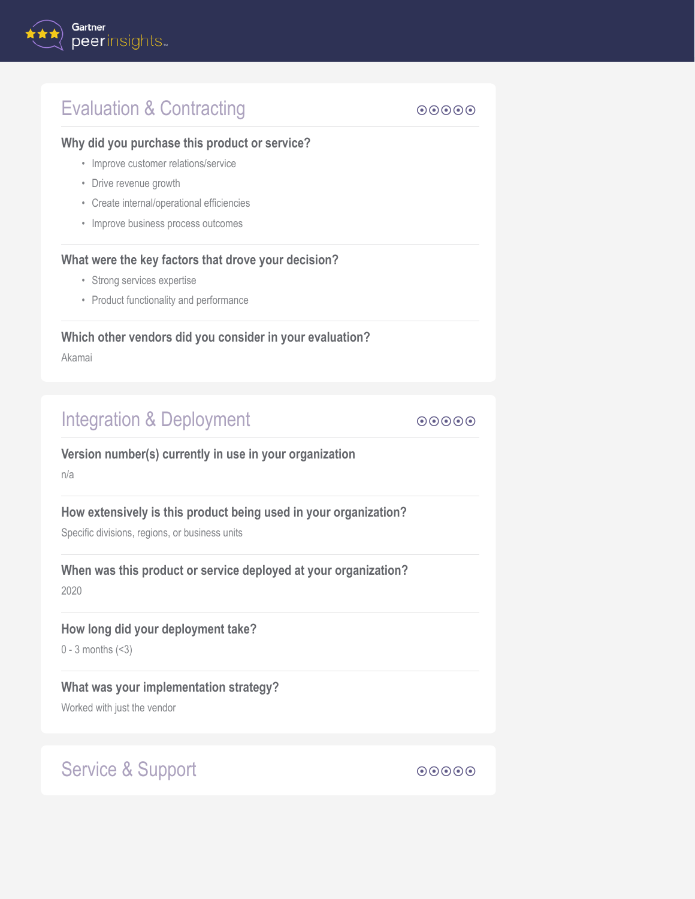# <span id="page-1-0"></span>Evaluation & Contracting

#### **Why did you purchase this product or service?**

- Improve customer relations/service
- Drive revenue growth
- Create internal/operational efficiencies
- Improve business process outcomes

#### **What were the key factors that drove your decision?**

- Strong services expertise
- Product functionality and performance

### **Which other vendors did you consider in your evaluation?**

Akamai

# Integration & Deployment **Access 2018** and  $\bullet \bullet \bullet \bullet \bullet$

### **Version number(s) currently in use in your organization**

n/a

**How extensively is this product being used in your organization?**

Specific divisions, regions, or business units

**When was this product or service deployed at your organization?** 2020

**How long did your deployment take?**

0 - 3 months (<3)

### **What was your implementation strategy?**

Worked with just the vendor

# Service & Support ¤¤¤¤¤